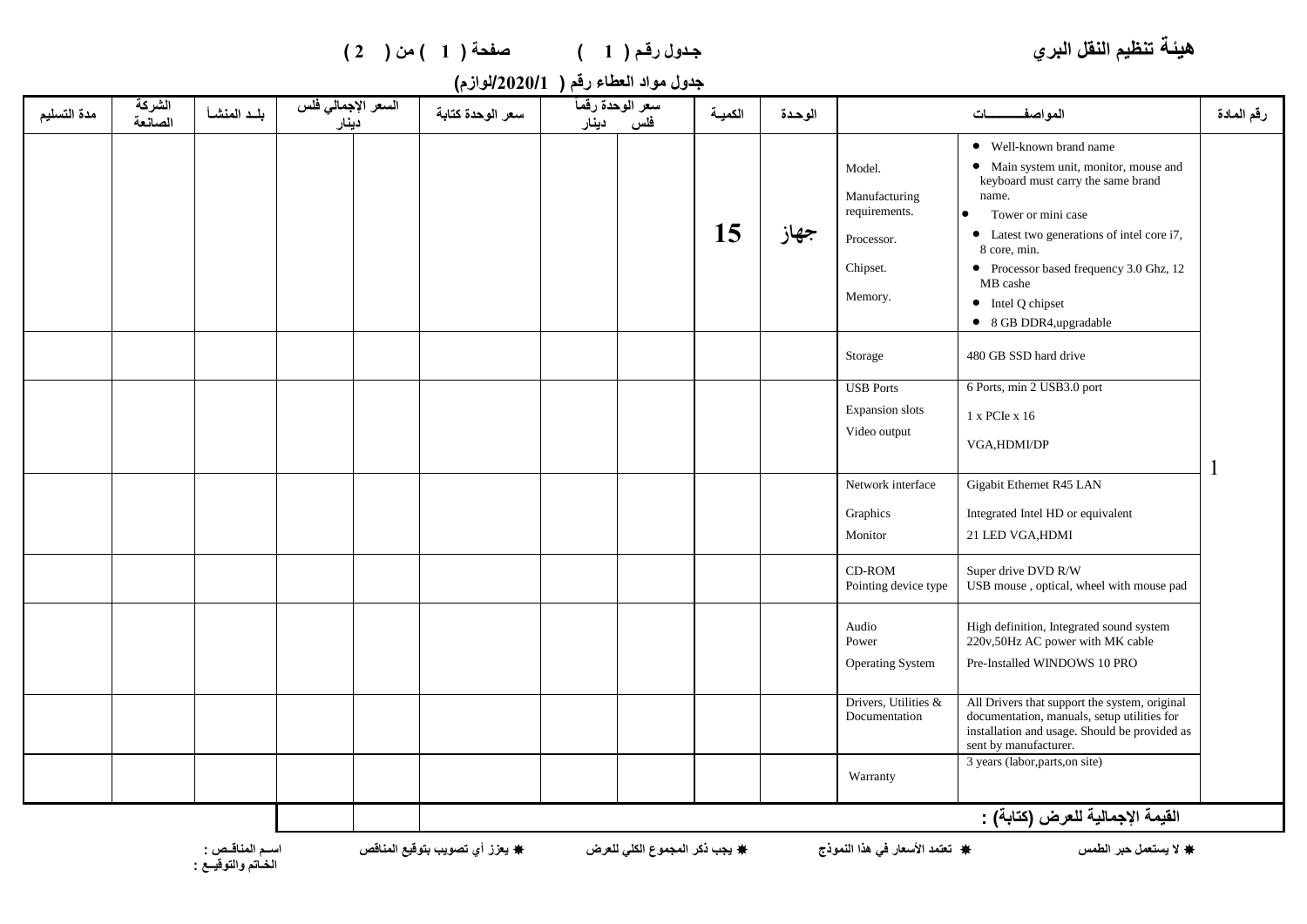| صفحة (1) من (2) | جدول رقم ( 1 ) |
|-----------------|----------------|
|-----------------|----------------|

**هيئة تنظيم النقل البري جـدول رقـم ) 1 ( صفحة ) 1 ( من ) 2 (**

| جدول مواد العطاء رقم (   2020/1/لوازم) |  |  |
|----------------------------------------|--|--|
|----------------------------------------|--|--|

| مدة التسليم | الشركة<br>الصانعة                | بلد المنشأ | السعر الإجمالي فلس<br>دينار |  | سعر الوحدة كتابة | سعر الوحدة رقمأ<br>دينار | فلس | الكميــة | الوحدة |                                                                               | المواصف                                                                                                                                                                                                                                                                                                                         | رقم المادة |
|-------------|----------------------------------|------------|-----------------------------|--|------------------|--------------------------|-----|----------|--------|-------------------------------------------------------------------------------|---------------------------------------------------------------------------------------------------------------------------------------------------------------------------------------------------------------------------------------------------------------------------------------------------------------------------------|------------|
|             |                                  |            |                             |  |                  |                          |     | 15       | جهاز   | Model.<br>Manufacturing<br>requirements.<br>Processor.<br>Chipset.<br>Memory. | • Well-known brand name<br>• Main system unit, monitor, mouse and<br>keyboard must carry the same brand<br>name.<br>Tower or mini case<br>$\bullet$<br>• Latest two generations of intel core i7,<br>8 core, min.<br>• Processor based frequency 3.0 Ghz, 12<br>MB cashe<br>$\bullet$ Intel Q chipset<br>• 8 GB DDR4,upgradable |            |
|             |                                  |            |                             |  |                  |                          |     |          |        | Storage                                                                       | 480 GB SSD hard drive                                                                                                                                                                                                                                                                                                           |            |
|             |                                  |            |                             |  |                  |                          |     |          |        | <b>USB</b> Ports<br>Expansion slots<br>Video output                           | 6 Ports, min 2 USB3.0 port<br>1 x PCIe x 16<br>VGA, HDMI/DP                                                                                                                                                                                                                                                                     |            |
|             |                                  |            |                             |  |                  |                          |     |          |        | Network interface<br>Graphics<br>Monitor                                      | Gigabit Ethernet R45 LAN<br>Integrated Intel HD or equivalent<br>21 LED VGA, HDMI                                                                                                                                                                                                                                               |            |
|             |                                  |            |                             |  |                  |                          |     |          |        | CD-ROM<br>Pointing device type                                                | Super drive DVD R/W<br>USB mouse, optical, wheel with mouse pad                                                                                                                                                                                                                                                                 |            |
|             |                                  |            |                             |  |                  |                          |     |          |        | Audio<br>Power<br><b>Operating System</b>                                     | High definition, Integrated sound system<br>220v,50Hz AC power with MK cable<br>Pre-Installed WINDOWS 10 PRO                                                                                                                                                                                                                    |            |
|             |                                  |            |                             |  |                  |                          |     |          |        | Drivers, Utilities &<br>Documentation                                         | All Drivers that support the system, original<br>documentation, manuals, setup utilities for<br>installation and usage. Should be provided as<br>sent by manufacturer.                                                                                                                                                          |            |
|             |                                  |            |                             |  |                  |                          |     |          |        | Warranty                                                                      | 3 years (labor, parts, on site)                                                                                                                                                                                                                                                                                                 |            |
|             | القيمة الإجمالية للعرض (كتابة) : |            |                             |  |                  |                          |     |          |        |                                                                               |                                                                                                                                                                                                                                                                                                                                 |            |